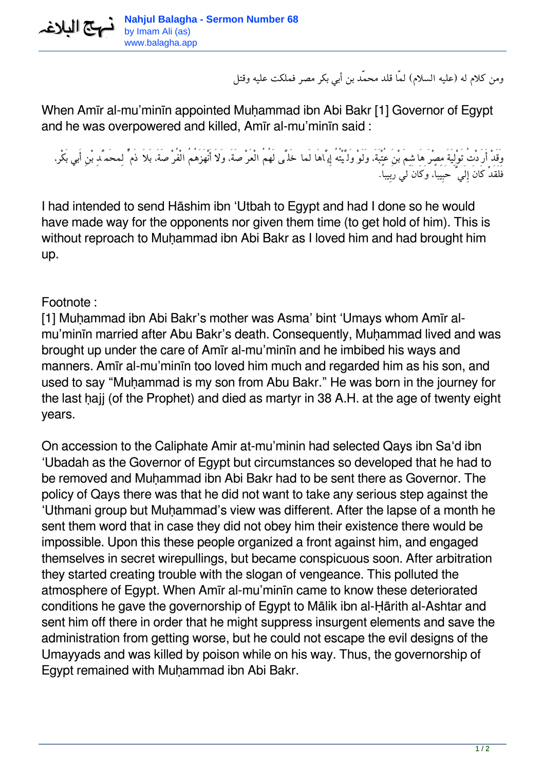*ومن كلام له (عليه السلام) لمّا قلد محمّد بن أبي بكر مصر فملكت عليه وقتل*

When Amīr al-mu'minīn appointed Muḥammad ibn Abi Bakr [1] Governor of Egypt and he was overpowered and killed, Amīr al-mu'minīn said :

وَقَدْ أَرَدْتُ تَوْلِيَةَ مِصْرَ هَا شِمَ بْنَ عُتْبَةَ، وَلَوْ وَلَّيْتُهُ إِيَّاهَا لَما خَلَّى لَهُمُ الْعَرْصَة، وَلَا أَنْهَزَهُمُ الْفُرْصَة، بَلاَ ذَمٍّ لِمحَمَّدِ بْنِ أَبي بَكْر، *فَلَقَدْ كَانَ إِلَيَّ حَبِيبا،ً وَكَانَ لي رَبِيبا.ً*

I had intended to send Hāshim ibn 'Utbah to Egypt and had I done so he would have made way for the opponents nor given them time (to get hold of him). This is without reproach to Muhammad ibn Abi Bakr as I loved him and had brought him up.

Footnote :

[1] Muḥammad ibn Abi Bakr's mother was Asma' bint 'Umays whom Amīr almu'minīn married after Abu Bakr's death. Consequently, Muḥammad lived and was brought up under the care of Amīr al-mu'minīn and he imbibed his ways and manners. Amīr al-mu'minīn too loved him much and regarded him as his son, and used to say "Muḥammad is my son from Abu Bakr." He was born in the journey for the last hajj (of the Prophet) and died as martyr in 38 A.H. at the age of twenty eight years.

On accession to the Caliphate Amir at-mu'minin had selected Qays ibn Sa'd ibn 'Ubadah as the Governor of Egypt but circumstances so developed that he had to be removed and Muhammad ibn Abi Bakr had to be sent there as Governor. The policy of Qays there was that he did not want to take any serious step against the 'Uthmani group but Muḥammad's view was different. After the lapse of a month he sent them word that in case they did not obey him their existence there would be impossible. Upon this these people organized a front against him, and engaged themselves in secret wirepullings, but became conspicuous soon. After arbitration they started creating trouble with the slogan of vengeance. This polluted the atmosphere of Egypt. When Amīr al-mu'minīn came to know these deteriorated conditions he gave the governorship of Egypt to Mālik ibn al-Ḥārith al-Ashtar and sent him off there in order that he might suppress insurgent elements and save the administration from getting worse, but he could not escape the evil designs of the Umayyads and was killed by poison while on his way. Thus, the governorship of Egypt remained with Muḥammad ibn Abi Bakr.